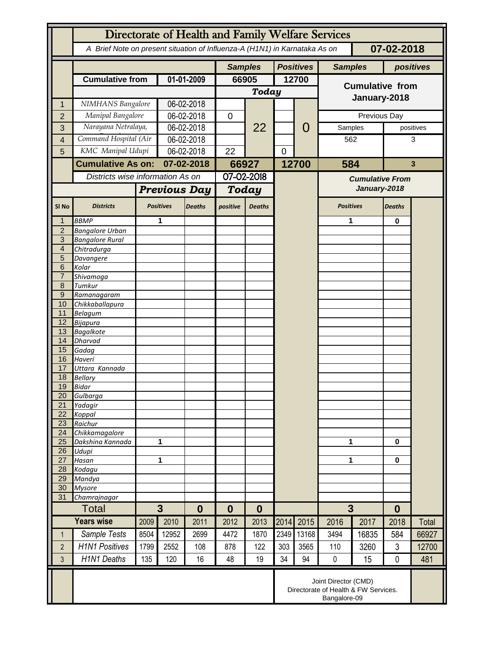|                                  | Directorate of Health and Family Welfare Services                                        |                                                                              |                                    |               |                |                      |                |                  |                        |              |               |              |
|----------------------------------|------------------------------------------------------------------------------------------|------------------------------------------------------------------------------|------------------------------------|---------------|----------------|----------------------|----------------|------------------|------------------------|--------------|---------------|--------------|
|                                  | A Brief Note on present situation of Influenza-A (H1N1) in Karnataka As on<br>07-02-2018 |                                                                              |                                    |               |                |                      |                |                  |                        |              |               |              |
|                                  |                                                                                          |                                                                              |                                    |               | <b>Samples</b> |                      |                | <b>Positives</b> | <b>Samples</b>         |              | positives     |              |
|                                  | <b>Cumulative from</b>                                                                   |                                                                              | 01-01-2009                         |               | 66905          |                      | 12700          |                  | <b>Cumulative from</b> |              |               |              |
|                                  |                                                                                          |                                                                              |                                    |               | <b>Today</b>   |                      |                |                  |                        |              |               |              |
| 1                                | NIMHANS Bangalore                                                                        |                                                                              | 06-02-2018                         |               |                |                      |                |                  |                        | January-2018 |               |              |
| $\overline{2}$                   | Manipal Bangalore                                                                        |                                                                              | 06-02-2018                         |               | 0              |                      |                |                  |                        | Previous Day |               |              |
| 3                                | Narayana Netralaya,                                                                      |                                                                              |                                    | 06-02-2018    |                | 22                   |                | 0                | Samples                |              | positives     |              |
| 4                                |                                                                                          | Command Hospital (Air                                                        |                                    | 06-02-2018    |                |                      |                |                  | 562                    |              | 3             |              |
| 5                                |                                                                                          | KMC Manipal Udupi                                                            |                                    | 06-02-2018    |                |                      | $\overline{0}$ |                  |                        |              |               |              |
|                                  |                                                                                          |                                                                              |                                    | 07-02-2018    |                |                      |                |                  |                        |              |               | $\mathbf{3}$ |
|                                  | <b>Cumulative As on:</b>                                                                 |                                                                              |                                    |               | 66927          |                      |                | 12700            |                        | 584          |               |              |
|                                  |                                                                                          |                                                                              | Districts wise information As on   |               | 07-02-2018     |                      |                |                  | <b>Cumulative From</b> |              |               |              |
|                                  |                                                                                          | <b>Previous Day</b>                                                          |                                    |               | Today          |                      |                |                  | January-2018           |              |               |              |
| SI <sub>No</sub>                 | <b>Districts</b>                                                                         |                                                                              | <b>Positives</b>                   | <b>Deaths</b> | positive       | <b>Deaths</b>        |                |                  | <b>Positives</b>       |              | <b>Deaths</b> |              |
| 1                                | <b>BBMP</b>                                                                              |                                                                              | 1                                  |               |                |                      |                |                  | 1                      |              | $\bf{0}$      |              |
| $\overline{2}$                   | <b>Bangalore Urban</b>                                                                   |                                                                              |                                    |               |                |                      |                |                  |                        |              |               |              |
| $\overline{3}$<br>$\overline{4}$ | <b>Bangalore Rural</b><br>Chitradurga                                                    |                                                                              |                                    |               |                |                      |                |                  |                        |              |               |              |
| 5                                | Davangere                                                                                |                                                                              |                                    |               |                |                      |                |                  |                        |              |               |              |
| 6                                | Kolar                                                                                    |                                                                              |                                    |               |                |                      |                |                  |                        |              |               |              |
| $\overline{7}$                   | Shivamoga                                                                                |                                                                              |                                    |               |                |                      |                |                  |                        |              |               |              |
| 8                                | Tumkur                                                                                   |                                                                              |                                    |               |                |                      |                |                  |                        |              |               |              |
| 9                                | Ramanagaram                                                                              |                                                                              |                                    |               |                |                      |                |                  |                        |              |               |              |
| 10<br>11                         | Chikkaballapura<br><b>Belagum</b>                                                        |                                                                              |                                    |               |                |                      |                |                  |                        |              |               |              |
| 12                               | <b>Bijapura</b>                                                                          |                                                                              |                                    |               |                |                      |                |                  |                        |              |               |              |
| 13                               | <b>Bagalkote</b>                                                                         |                                                                              |                                    |               |                |                      |                |                  |                        |              |               |              |
| 14                               | <b>Dharvad</b>                                                                           |                                                                              |                                    |               |                |                      |                |                  |                        |              |               |              |
| 15                               | Gadag                                                                                    |                                                                              |                                    |               |                |                      |                |                  |                        |              |               |              |
| 16                               | Haveri                                                                                   |                                                                              |                                    |               |                |                      |                |                  |                        |              |               |              |
| 17                               | Uttara Kannada                                                                           |                                                                              |                                    |               |                |                      |                |                  |                        |              |               |              |
| 18<br>19                         | <b>Bellary</b><br>Bidar                                                                  |                                                                              |                                    |               |                |                      |                |                  |                        |              |               |              |
| 20                               | Gulbarga                                                                                 |                                                                              |                                    |               |                |                      |                |                  |                        |              |               |              |
| 21                               | Yadagir                                                                                  |                                                                              |                                    |               |                |                      |                |                  |                        |              |               |              |
| 22                               | Koppal                                                                                   |                                                                              |                                    |               |                |                      |                |                  |                        |              |               |              |
| 23                               | Raichur                                                                                  |                                                                              |                                    |               |                |                      |                |                  |                        |              |               |              |
| $\overline{24}$                  | Chikkamagalore                                                                           |                                                                              |                                    |               |                |                      |                |                  |                        |              |               |              |
| 25<br>26                         | Dakshina Kannada<br>Udupi                                                                | 1                                                                            |                                    |               |                |                      |                |                  | 1                      |              | 0             |              |
| 27                               | Hasan                                                                                    | 1                                                                            |                                    |               |                |                      |                |                  | 1                      |              | $\mathbf 0$   |              |
| 28                               | Kodagu                                                                                   |                                                                              |                                    |               |                |                      |                |                  |                        |              |               |              |
| 29                               | Mandya                                                                                   |                                                                              |                                    |               |                |                      |                |                  |                        |              |               |              |
| 30                               | <b>Mysore</b>                                                                            |                                                                              |                                    |               |                |                      |                |                  |                        |              |               |              |
| 31                               | Chamrajnagar                                                                             |                                                                              |                                    |               |                |                      |                |                  |                        |              |               |              |
|                                  | Total                                                                                    |                                                                              | $3\phantom{a}$<br>$\boldsymbol{0}$ |               |                | $\bf{0}$<br>$\bf{0}$ |                |                  | $\overline{3}$         |              | $\bf{0}$      |              |
|                                  | <b>Years wise</b>                                                                        | 2009                                                                         | 2010                               | 2011          | 2012           | 2013                 | 2014           | 2015             | 2016                   | 2017         | 2018          | Total        |
| $\mathbf 1$                      | Sample Tests                                                                             | 8504                                                                         | 12952                              | 2699          | 4472           | 1870                 | 2349           | 13168            | 3494                   | 16835        | 584           | 66927        |
| $\overline{2}$                   | <b>H1N1 Positives</b>                                                                    | 1799                                                                         | 2552                               | 108           | 878            | 122                  | 303            | 3565             | 110                    | 3260         | 3             | 12700        |
| 3                                | <b>H1N1 Deaths</b>                                                                       | 135                                                                          | 120                                | 16            | 48             | 19                   | 34             | 94               | $\mathbf 0$            | 15           | $\mathbf 0$   | 481          |
|                                  |                                                                                          | Joint Director (CMD)<br>Directorate of Health & FW Services.<br>Bangalore-09 |                                    |               |                |                      |                |                  |                        |              |               |              |